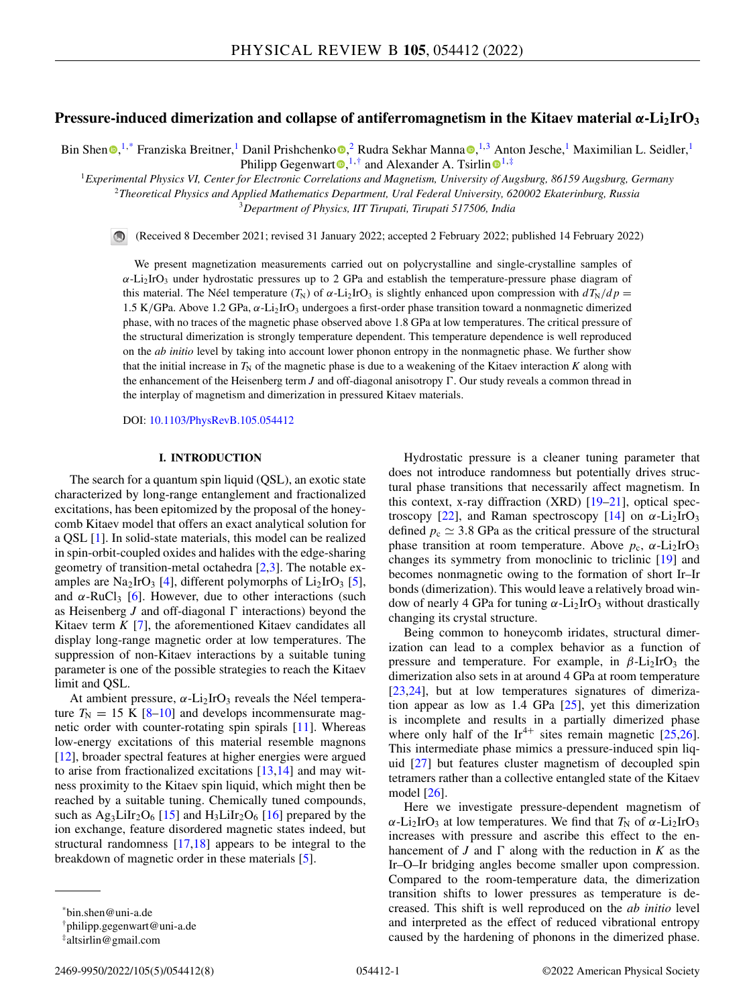# **Pressure-induced dimerization and collapse of antiferromagnetism in the Kitaev material** *α***-Li2IrO3**

Bin Shen  $\bigcirc$ [,](https://orcid.org/0000-0003-1588-1165)<sup>1,\*</sup> Fr[a](https://orcid.org/0000-0003-3285-445X)nziska Breitner,<sup>1</sup> Danil Prishchenko  $\bigcirc$ ,<sup>2</sup> Rudra Sekhar Manna  $\bigcirc$ ,<sup>1,3</sup> Anton Jesche,<sup>1</sup> Maximilian L. Seidler,<sup>1</sup> Philipp Gegenwar[t](https://orcid.org/0000-0003-4180-3785)  $\bullet$ ,  $^{1, \dagger}$  $^{1, \dagger}$  $^{1, \dagger}$  and Alexander A. Tsirlin  $\bullet$ <sup>1,‡</sup>

<sup>1</sup>*Experimental Physics VI, Center for Electronic Correlations and Magnetism, University of Augsburg, 86159 Augsburg, Germany* <sup>2</sup>*Theoretical Physics and Applied Mathematics Department, Ural Federal University, 620002 Ekaterinburg, Russia*

<sup>3</sup>*Department of Physics, IIT Tirupati, Tirupati 517506, India*

(Received 8 December 2021; revised 31 January 2022; accepted 2 February 2022; published 14 February 2022)

We present magnetization measurements carried out on polycrystalline and single-crystalline samples of  $\alpha$ -Li<sub>2</sub>IrO<sub>3</sub> under hydrostatic pressures up to 2 GPa and establish the temperature-pressure phase diagram of this material. The Néel temperature  $(T_N)$  of  $\alpha$ -Li<sub>2</sub>IrO<sub>3</sub> is slightly enhanced upon compression with  $dT_N/dp =$ 1.5 K/GPa. Above 1.2 GPa,  $\alpha$ -Li<sub>2</sub>IrO<sub>3</sub> undergoes a first-order phase transition toward a nonmagnetic dimerized phase, with no traces of the magnetic phase observed above 1.8 GPa at low temperatures. The critical pressure of the structural dimerization is strongly temperature dependent. This temperature dependence is well reproduced on the *ab initio* level by taking into account lower phonon entropy in the nonmagnetic phase. We further show that the initial increase in  $T_N$  of the magnetic phase is due to a weakening of the Kitaev interaction K along with the enhancement of the Heisenberg term  $J$  and off-diagonal anisotropy  $\Gamma$ . Our study reveals a common thread in the interplay of magnetism and dimerization in pressured Kitaev materials.

DOI: [10.1103/PhysRevB.105.054412](https://doi.org/10.1103/PhysRevB.105.054412)

## **I. INTRODUCTION**

The search for a quantum spin liquid (QSL), an exotic state characterized by long-range entanglement and fractionalized excitations, has been epitomized by the proposal of the honeycomb Kitaev model that offers an exact analytical solution for a QSL [\[1\]](#page-6-0). In solid-state materials, this model can be realized in spin-orbit-coupled oxides and halides with the edge-sharing geometry of transition-metal octahedra [\[2,3\]](#page-6-0). The notable ex-amples are Na<sub>2</sub>IrO<sub>3</sub> [\[4\]](#page-6-0), different polymorphs of Li<sub>2</sub>IrO<sub>3</sub> [\[5\]](#page-6-0), and  $\alpha$ -RuCl<sub>3</sub> [\[6\]](#page-6-0). However, due to other interactions (such as Heisenberg  $J$  and off-diagonal  $\Gamma$  interactions) beyond the Kitaev term *K* [\[7\]](#page-6-0), the aforementioned Kitaev candidates all display long-range magnetic order at low temperatures. The suppression of non-Kitaev interactions by a suitable tuning parameter is one of the possible strategies to reach the Kitaev limit and QSL.

At ambient pressure,  $\alpha$ -Li<sub>2</sub>IrO<sub>3</sub> reveals the Néel temperature  $T_N = 15$  K [\[8–10\]](#page-6-0) and develops incommensurate magnetic order with counter-rotating spin spirals [\[11\]](#page-6-0). Whereas low-energy excitations of this material resemble magnons [\[12\]](#page-6-0), broader spectral features at higher energies were argued to arise from fractionalized excitations [\[13,14\]](#page-6-0) and may witness proximity to the Kitaev spin liquid, which might then be reached by a suitable tuning. Chemically tuned compounds, such as  $Ag_3LiIr_2O_6$  [\[15\]](#page-6-0) and  $H_3LiIr_2O_6$  [\[16\]](#page-6-0) prepared by the ion exchange, feature disordered magnetic states indeed, but structural randomness [\[17,18\]](#page-6-0) appears to be integral to the breakdown of magnetic order in these materials [\[5\]](#page-6-0).

Hydrostatic pressure is a cleaner tuning parameter that does not introduce randomness but potentially drives structural phase transitions that necessarily affect magnetism. In this context, x-ray diffraction (XRD) [\[19–21\]](#page-6-0), optical spec-troscopy [\[22\]](#page-6-0), and Raman spectroscopy [\[14\]](#page-6-0) on  $\alpha$ -Li<sub>2</sub>IrO<sub>3</sub> defined  $p_c \simeq 3.8$  GPa as the critical pressure of the structural phase transition at room temperature. Above  $p_c$ ,  $\alpha$ -Li<sub>2</sub>IrO<sub>3</sub> changes its symmetry from monoclinic to triclinic [\[19\]](#page-6-0) and becomes nonmagnetic owing to the formation of short Ir–Ir bonds (dimerization). This would leave a relatively broad window of nearly 4 GPa for tuning  $\alpha$ -Li<sub>2</sub>IrO<sub>3</sub> without drastically changing its crystal structure.

Being common to honeycomb iridates, structural dimerization can lead to a complex behavior as a function of pressure and temperature. For example, in  $\beta$ -Li<sub>2</sub>IrO<sub>3</sub> the dimerization also sets in at around 4 GPa at room temperature [\[23,24\]](#page-6-0), but at low temperatures signatures of dimerization appear as low as 1.4 GPa [\[25\]](#page-6-0), yet this dimerization is incomplete and results in a partially dimerized phase where only half of the Ir<sup>4+</sup> sites remain magnetic  $[25,26]$  $[25,26]$ . This intermediate phase mimics a pressure-induced spin liquid [\[27\]](#page-7-0) but features cluster magnetism of decoupled spin tetramers rather than a collective entangled state of the Kitaev model [\[26\]](#page-7-0).

Here we investigate pressure-dependent magnetism of  $\alpha$ -Li<sub>2</sub>IrO<sub>3</sub> at low temperatures. We find that  $T_N$  of  $\alpha$ -Li<sub>2</sub>IrO<sub>3</sub> increases with pressure and ascribe this effect to the enhancement of *J* and  $\Gamma$  along with the reduction in *K* as the Ir–O–Ir bridging angles become smaller upon compression. Compared to the room-temperature data, the dimerization transition shifts to lower pressures as temperature is decreased. This shift is well reproduced on the *ab initio* level and interpreted as the effect of reduced vibrational entropy caused by the hardening of phonons in the dimerized phase.

<sup>\*</sup>bin.shen@uni-a.de

<sup>†</sup>philipp.gegenwart@uni-a.de

<sup>‡</sup>altsirlin@gmail.com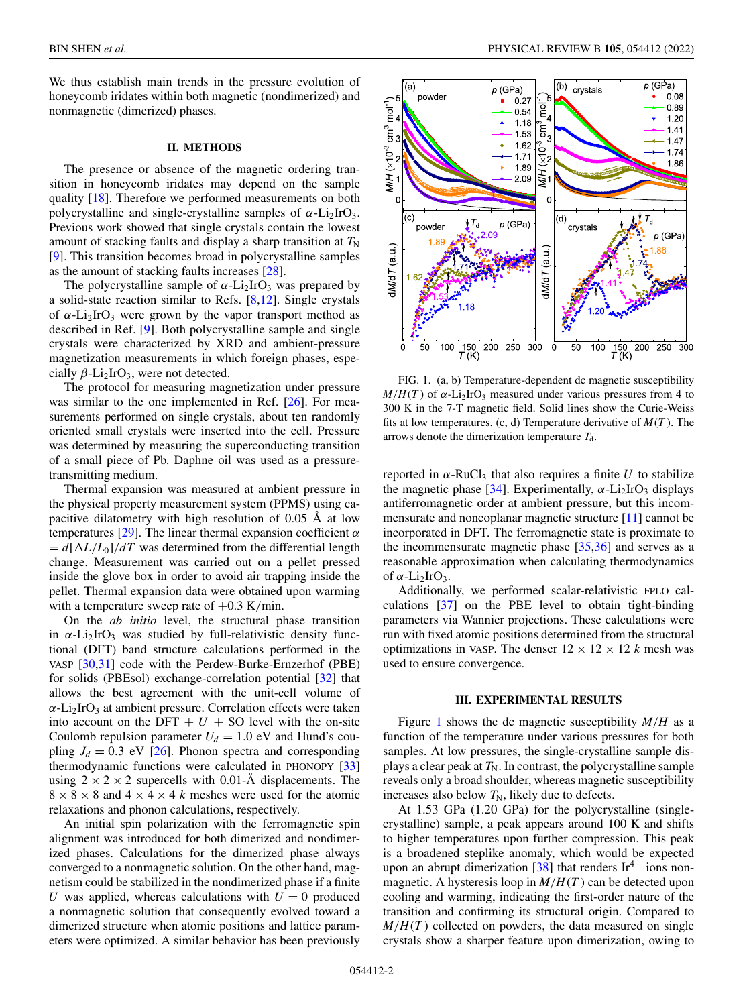<span id="page-1-0"></span>We thus establish main trends in the pressure evolution of honeycomb iridates within both magnetic (nondimerized) and nonmagnetic (dimerized) phases.

# **II. METHODS**

The presence or absence of the magnetic ordering transition in honeycomb iridates may depend on the sample quality [\[18\]](#page-6-0). Therefore we performed measurements on both polycrystalline and single-crystalline samples of  $\alpha$ -Li<sub>2</sub>IrO<sub>3</sub>. Previous work showed that single crystals contain the lowest amount of stacking faults and display a sharp transition at  $T_N$ [\[9\]](#page-6-0). This transition becomes broad in polycrystalline samples as the amount of stacking faults increases [\[28\]](#page-7-0).

The polycrystalline sample of  $\alpha$ -Li<sub>2</sub>IrO<sub>3</sub> was prepared by a solid-state reaction similar to Refs. [\[8,12\]](#page-6-0). Single crystals of  $\alpha$ -Li<sub>2</sub>IrO<sub>3</sub> were grown by the vapor transport method as described in Ref. [\[9\]](#page-6-0). Both polycrystalline sample and single crystals were characterized by XRD and ambient-pressure magnetization measurements in which foreign phases, especially  $\beta$ -Li<sub>2</sub>IrO<sub>3</sub>, were not detected.

The protocol for measuring magnetization under pressure was similar to the one implemented in Ref. [\[26\]](#page-7-0). For measurements performed on single crystals, about ten randomly oriented small crystals were inserted into the cell. Pressure was determined by measuring the superconducting transition of a small piece of Pb. Daphne oil was used as a pressuretransmitting medium.

Thermal expansion was measured at ambient pressure in the physical property measurement system (PPMS) using capacitive dilatometry with high resolution of 0.05 Å at low temperatures [\[29\]](#page-7-0). The linear thermal expansion coefficient  $\alpha$  $= d[\Delta L/L_0]/dT$  was determined from the differential length change. Measurement was carried out on a pellet pressed inside the glove box in order to avoid air trapping inside the pellet. Thermal expansion data were obtained upon warming with a temperature sweep rate of  $+0.3$  K/min.

On the *ab initio* level, the structural phase transition in  $\alpha$ -Li<sub>2</sub>IrO<sub>3</sub> was studied by full-relativistic density functional (DFT) band structure calculations performed in the VASP [\[30,31\]](#page-7-0) code with the Perdew-Burke-Ernzerhof (PBE) for solids (PBEsol) exchange-correlation potential [\[32\]](#page-7-0) that allows the best agreement with the unit-cell volume of  $\alpha$ -Li<sub>2</sub>IrO<sub>3</sub> at ambient pressure. Correlation effects were taken into account on the DFT  $+ U + SO$  level with the on-site Coulomb repulsion parameter  $U_d = 1.0$  eV and Hund's coupling  $J_d = 0.3$  eV [\[26\]](#page-7-0). Phonon spectra and corresponding thermodynamic functions were calculated in PHONOPY [\[33\]](#page-7-0) using  $2 \times 2 \times 2$  supercells with 0.01-Å displacements. The  $8 \times 8 \times 8$  and  $4 \times 4 \times 4$  *k* meshes were used for the atomic relaxations and phonon calculations, respectively.

An initial spin polarization with the ferromagnetic spin alignment was introduced for both dimerized and nondimerized phases. Calculations for the dimerized phase always converged to a nonmagnetic solution. On the other hand, magnetism could be stabilized in the nondimerized phase if a finite *U* was applied, whereas calculations with  $U = 0$  produced a nonmagnetic solution that consequently evolved toward a dimerized structure when atomic positions and lattice parameters were optimized. A similar behavior has been previously



FIG. 1. (a, b) Temperature-dependent dc magnetic susceptibility  $M/H(T)$  of  $\alpha$ -Li<sub>2</sub>IrO<sub>3</sub> measured under various pressures from 4 to 300 K in the 7-T magnetic field. Solid lines show the Curie-Weiss fits at low temperatures. (c, d) Temperature derivative of  $M(T)$ . The arrows denote the dimerization temperature  $T_d$ .

reported in  $\alpha$ -RuCl<sub>3</sub> that also requires a finite *U* to stabilize the magnetic phase [\[34\]](#page-7-0). Experimentally,  $\alpha$ -Li<sub>2</sub>IrO<sub>3</sub> displays antiferromagnetic order at ambient pressure, but this incommensurate and noncoplanar magnetic structure [\[11\]](#page-6-0) cannot be incorporated in DFT. The ferromagnetic state is proximate to the incommensurate magnetic phase [\[35,36\]](#page-7-0) and serves as a reasonable approximation when calculating thermodynamics of  $\alpha$ -Li<sub>2</sub>IrO<sub>3</sub>.

Additionally, we performed scalar-relativistic FPLO calculations [\[37\]](#page-7-0) on the PBE level to obtain tight-binding parameters via Wannier projections. These calculations were run with fixed atomic positions determined from the structural optimizations in VASP. The denser  $12 \times 12 \times 12$  *k* mesh was used to ensure convergence.

#### **III. EXPERIMENTAL RESULTS**

Figure 1 shows the dc magnetic susceptibility *M*/*H* as a function of the temperature under various pressures for both samples. At low pressures, the single-crystalline sample displays a clear peak at  $T_N$ . In contrast, the polycrystalline sample reveals only a broad shoulder, whereas magnetic susceptibility increases also below  $T_N$ , likely due to defects.

At 1.53 GPa (1.20 GPa) for the polycrystalline (singlecrystalline) sample, a peak appears around 100 K and shifts to higher temperatures upon further compression. This peak is a broadened steplike anomaly, which would be expected upon an abrupt dimerization [\[38\]](#page-7-0) that renders  $Ir^{4+}$  ions nonmagnetic. A hysteresis loop in *M*/*H*(*T* ) can be detected upon cooling and warming, indicating the first-order nature of the transition and confirming its structural origin. Compared to  $M/H(T)$  collected on powders, the data measured on single crystals show a sharper feature upon dimerization, owing to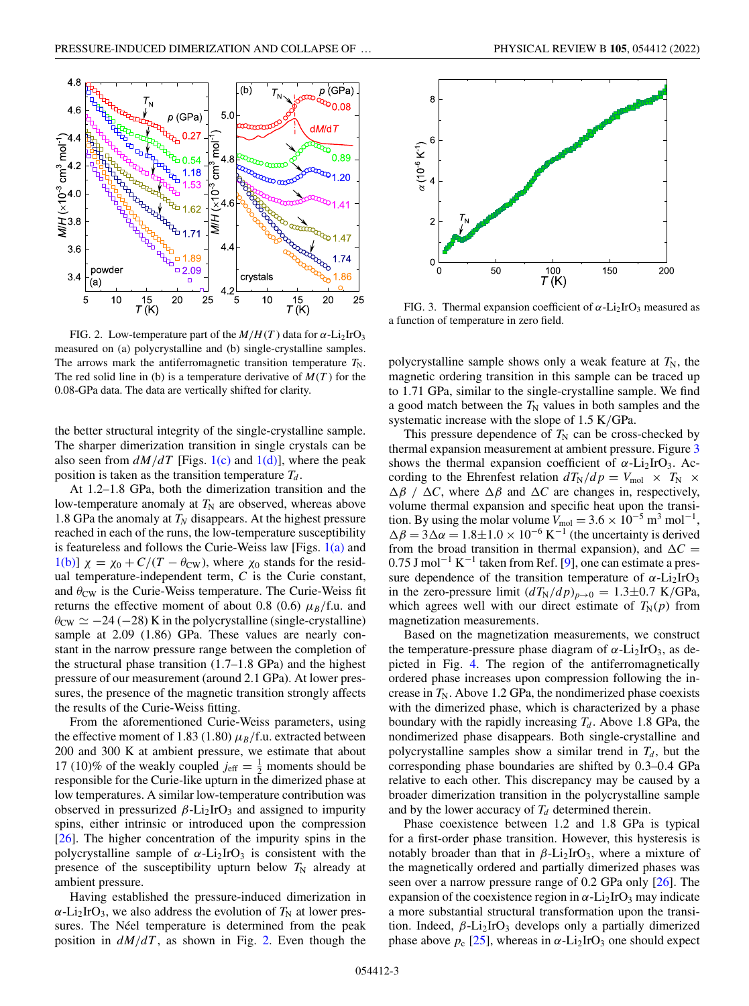

FIG. 2. Low-temperature part of the  $M/H(T)$  data for  $\alpha$ -Li<sub>2</sub>IrO<sub>3</sub> measured on (a) polycrystalline and (b) single-crystalline samples. The arrows mark the antiferromagnetic transition temperature  $T_N$ . The red solid line in (b) is a temperature derivative of  $M(T)$  for the 0.08-GPa data. The data are vertically shifted for clarity.

the better structural integrity of the single-crystalline sample. The sharper dimerization transition in single crystals can be also seen from  $dM/dT$  [Figs. [1\(c\)](#page-1-0) and [1\(d\)\]](#page-1-0), where the peak position is taken as the transition temperature  $T_d$ .

At 1.2–1.8 GPa, both the dimerization transition and the low-temperature anomaly at  $T_N$  are observed, whereas above 1.8 GPa the anomaly at  $T_N$  disappears. At the highest pressure reached in each of the runs, the low-temperature susceptibility is featureless and follows the Curie-Weiss law [Figs.  $1(a)$  and [1\(b\)\]](#page-1-0)  $\chi = \chi_0 + C/(T - \theta_{\text{CW}})$ , where  $\chi_0$  stands for the residual temperature-independent term, *C* is the Curie constant, and  $\theta_{\rm CW}$  is the Curie-Weiss temperature. The Curie-Weiss fit returns the effective moment of about 0.8 (0.6)  $\mu_B$ /f.u. and  $\theta_{\rm CW} \simeq -24 \, (-28) \,\rm K$  in the polycrystalline (single-crystalline) sample at 2.09 (1.86) GPa. These values are nearly constant in the narrow pressure range between the completion of the structural phase transition (1.7–1.8 GPa) and the highest pressure of our measurement (around 2.1 GPa). At lower pressures, the presence of the magnetic transition strongly affects the results of the Curie-Weiss fitting.

From the aforementioned Curie-Weiss parameters, using the effective moment of 1.83 (1.80)  $\mu_B$ /f.u. extracted between 200 and 300 K at ambient pressure, we estimate that about 17 (10)% of the weakly coupled  $j_{\text{eff}} = \frac{1}{2}$  moments should be responsible for the Curie-like upturn in the dimerized phase at low temperatures. A similar low-temperature contribution was observed in pressurized  $\beta$ -Li<sub>2</sub>IrO<sub>3</sub> and assigned to impurity spins, either intrinsic or introduced upon the compression [\[26\]](#page-7-0). The higher concentration of the impurity spins in the polycrystalline sample of  $\alpha$ -Li<sub>2</sub>IrO<sub>3</sub> is consistent with the presence of the susceptibility upturn below  $T_N$  already at ambient pressure.

Having established the pressure-induced dimerization in  $\alpha$ -Li<sub>2</sub>IrO<sub>3</sub>, we also address the evolution of  $T_N$  at lower pressures. The Néel temperature is determined from the peak position in *dM*/*dT* , as shown in Fig. 2. Even though the



FIG. 3. Thermal expansion coefficient of  $\alpha$ -Li<sub>2</sub>IrO<sub>3</sub> measured as a function of temperature in zero field.

polycrystalline sample shows only a weak feature at  $T_N$ , the magnetic ordering transition in this sample can be traced up to 1.71 GPa, similar to the single-crystalline sample. We find a good match between the  $T_N$  values in both samples and the systematic increase with the slope of 1.5 K/GPa.

This pressure dependence of  $T_N$  can be cross-checked by thermal expansion measurement at ambient pressure. Figure 3 shows the thermal expansion coefficient of  $\alpha$ -Li<sub>2</sub>IrO<sub>3</sub>. According to the Ehrenfest relation  $dT_N/dp = V_{\text{mol}} \times T_N \times$  $\Delta\beta$  /  $\Delta C$ , where  $\Delta\beta$  and  $\Delta C$  are changes in, respectively, volume thermal expansion and specific heat upon the transition. By using the molar volume  $V_{\text{mol}} = 3.6 \times 10^{-5} \text{ m}^3 \text{ mol}^{-1}$ ,  $\Delta \beta = 3 \Delta \alpha = 1.8 \pm 1.0 \times 10^{-6} \text{ K}^{-1}$  (the uncertainty is derived from the broad transition in thermal expansion), and  $\Delta C =$  $0.75$  J mol<sup>-1</sup> K<sup>-1</sup> taken from Ref. [\[9\]](#page-6-0), one can estimate a pressure dependence of the transition temperature of  $\alpha$ -Li<sub>2</sub>IrO<sub>3</sub> in the zero-pressure limit  $(dT_N/dp)_{p\to 0} = 1.3 \pm 0.7$  K/GPa, which agrees well with our direct estimate of  $T_N(p)$  from magnetization measurements.

Based on the magnetization measurements, we construct the temperature-pressure phase diagram of  $\alpha$ -Li<sub>2</sub>IrO<sub>3</sub>, as depicted in Fig. [4.](#page-3-0) The region of the antiferromagnetically ordered phase increases upon compression following the increase in  $T_N$ . Above 1.2 GPa, the nondimerized phase coexists with the dimerized phase, which is characterized by a phase boundary with the rapidly increasing  $T_d$ . Above 1.8 GPa, the nondimerized phase disappears. Both single-crystalline and polycrystalline samples show a similar trend in  $T_d$ , but the corresponding phase boundaries are shifted by 0.3–0.4 GPa relative to each other. This discrepancy may be caused by a broader dimerization transition in the polycrystalline sample and by the lower accuracy of  $T_d$  determined therein.

Phase coexistence between 1.2 and 1.8 GPa is typical for a first-order phase transition. However, this hysteresis is notably broader than that in  $\beta$ -Li<sub>2</sub>IrO<sub>3</sub>, where a mixture of the magnetically ordered and partially dimerized phases was seen over a narrow pressure range of 0.2 GPa only [\[26\]](#page-7-0). The expansion of the coexistence region in  $\alpha$ -Li<sub>2</sub>IrO<sub>3</sub> may indicate a more substantial structural transformation upon the transition. Indeed,  $\beta$ -Li<sub>2</sub>IrO<sub>3</sub> develops only a partially dimerized phase above  $p_c$  [\[25\]](#page-6-0), whereas in  $\alpha$ -Li<sub>2</sub>IrO<sub>3</sub> one should expect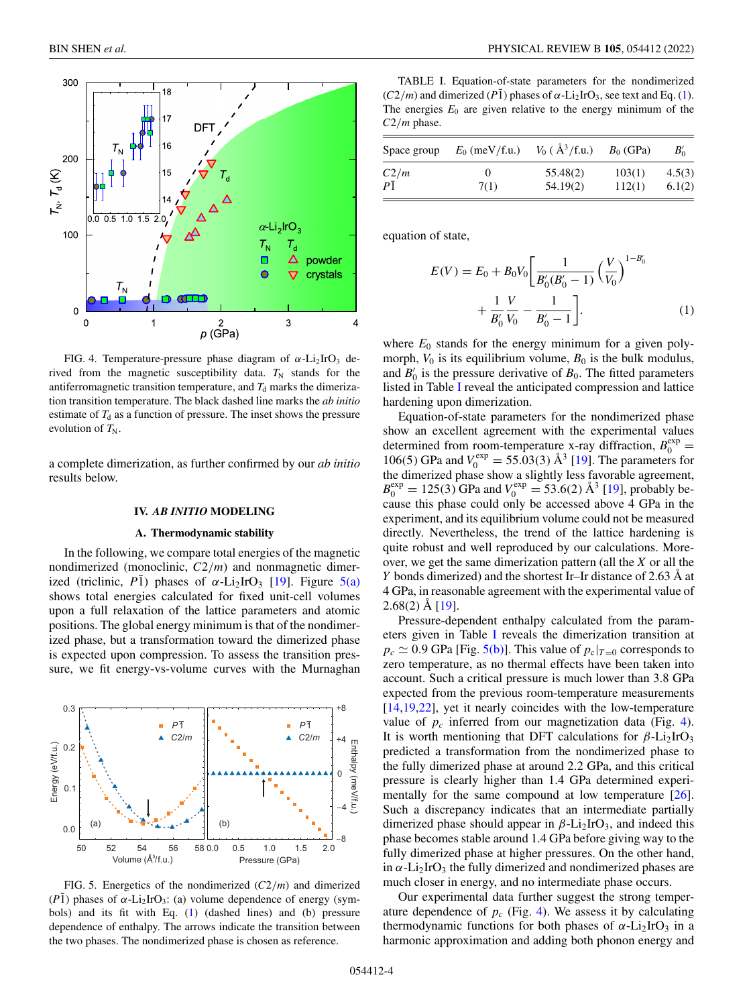<span id="page-3-0"></span>

FIG. 4. Temperature-pressure phase diagram of  $\alpha$ -Li<sub>2</sub>IrO<sub>3</sub> derived from the magnetic susceptibility data.  $T_N$  stands for the antiferromagnetic transition temperature, and  $T<sub>d</sub>$  marks the dimerization transition temperature. The black dashed line marks the *ab initio* estimate of  $T<sub>d</sub>$  as a function of pressure. The inset shows the pressure evolution of  $T_N$ .

a complete dimerization, as further confirmed by our *ab initio* results below.

#### **IV.** *AB INITIO* **MODELING**

### **A. Thermodynamic stability**

In the following, we compare total energies of the magnetic nondimerized (monoclinic, *C*2/*m*) and nonmagnetic dimerized (triclinic,  $P\bar{1}$ ) phases of  $\alpha$ -Li<sub>2</sub>IrO<sub>3</sub> [\[19\]](#page-6-0). Figure 5(a) shows total energies calculated for fixed unit-cell volumes upon a full relaxation of the lattice parameters and atomic positions. The global energy minimum is that of the nondimerized phase, but a transformation toward the dimerized phase is expected upon compression. To assess the transition pressure, we fit energy-vs-volume curves with the Murnaghan



FIG. 5. Energetics of the nondimerized (*C*2/*m*) and dimerized ( $P\bar{1}$ ) phases of  $\alpha$ -Li<sub>2</sub>IrO<sub>3</sub>: (a) volume dependence of energy (symbols) and its fit with Eq. (1) (dashed lines) and (b) pressure dependence of enthalpy. The arrows indicate the transition between the two phases. The nondimerized phase is chosen as reference.

TABLE I. Equation-of-state parameters for the nondimerized  $(C2/m)$  and dimerized  $(P\bar{1})$  phases of  $\alpha$ -Li<sub>2</sub>IrO<sub>3</sub>, see text and Eq. (1). The energies  $E_0$  are given relative to the energy minimum of the *C*2/*m* phase.

| Space group | $E_0$ (meV/f.u.) | $V_0$ ( $\AA^3$ /f.u.) | $B_0$ (GPa) | $B'_{0}$ |
|-------------|------------------|------------------------|-------------|----------|
| C2/m        |                  | 55.48(2)               | 103(1)      | 4.5(3)   |
| $P\bar{1}$  | 7(1)             | 54.19(2)               | 112(1)      | 6.1(2)   |

equation of state,

$$
E(V) = E_0 + B_0 V_0 \left[ \frac{1}{B'_0 (B'_0 - 1)} \left( \frac{V}{V_0} \right)^{1 - B'_0} + \frac{1}{B'_0} \frac{V}{V_0} - \frac{1}{B'_0 - 1} \right].
$$
 (1)

where  $E_0$  stands for the energy minimum for a given polymorph,  $V_0$  is its equilibrium volume,  $B_0$  is the bulk modulus, and  $B'_0$  is the pressure derivative of  $B_0$ . The fitted parameters listed in Table I reveal the anticipated compression and lattice hardening upon dimerization.

Equation-of-state parameters for the nondimerized phase show an excellent agreement with the experimental values determined from room-temperature x-ray diffraction,  $B_0^{\text{exp}}$ 106(5) GPa and  $V_0^{\text{exp}} = 55.03(3)$  Å<sup>3</sup> [\[19\]](#page-6-0). The parameters for the dimerized phase show a slightly less favorable agreement,  $B_0^{\text{exp}} = 125(3)$  GPa and  $V_0^{\text{exp}} = 53.6(2)$  Å<sup>3</sup> [\[19\]](#page-6-0), probably because this phase could only be accessed above 4 GPa in the experiment, and its equilibrium volume could not be measured directly. Nevertheless, the trend of the lattice hardening is quite robust and well reproduced by our calculations. Moreover, we get the same dimerization pattern (all the *X* or all the *Y* bonds dimerized) and the shortest Ir–Ir distance of 2.63 Å at 4 GPa, in reasonable agreement with the experimental value of 2.68(2) Å [\[19\]](#page-6-0).

Pressure-dependent enthalpy calculated from the parameters given in Table I reveals the dimerization transition at  $p_c \simeq 0.9$  GPa [Fig. 5(b)]. This value of  $p_c|_{T=0}$  corresponds to zero temperature, as no thermal effects have been taken into account. Such a critical pressure is much lower than 3.8 GPa expected from the previous room-temperature measurements [\[14,19,22\]](#page-6-0), yet it nearly coincides with the low-temperature value of  $p_c$  inferred from our magnetization data (Fig. 4). It is worth mentioning that DFT calculations for  $\beta$ -Li<sub>2</sub>IrO<sub>3</sub> predicted a transformation from the nondimerized phase to the fully dimerized phase at around 2.2 GPa, and this critical pressure is clearly higher than 1.4 GPa determined experimentally for the same compound at low temperature [\[26\]](#page-7-0). Such a discrepancy indicates that an intermediate partially dimerized phase should appear in  $\beta$ -Li<sub>2</sub>IrO<sub>3</sub>, and indeed this phase becomes stable around 1.4 GPa before giving way to the fully dimerized phase at higher pressures. On the other hand, in  $\alpha$ -Li<sub>2</sub>IrO<sub>3</sub> the fully dimerized and nondimerized phases are much closer in energy, and no intermediate phase occurs.

Our experimental data further suggest the strong temperature dependence of  $p_c$  (Fig. 4). We assess it by calculating thermodynamic functions for both phases of  $\alpha$ -Li<sub>2</sub>IrO<sub>3</sub> in a harmonic approximation and adding both phonon energy and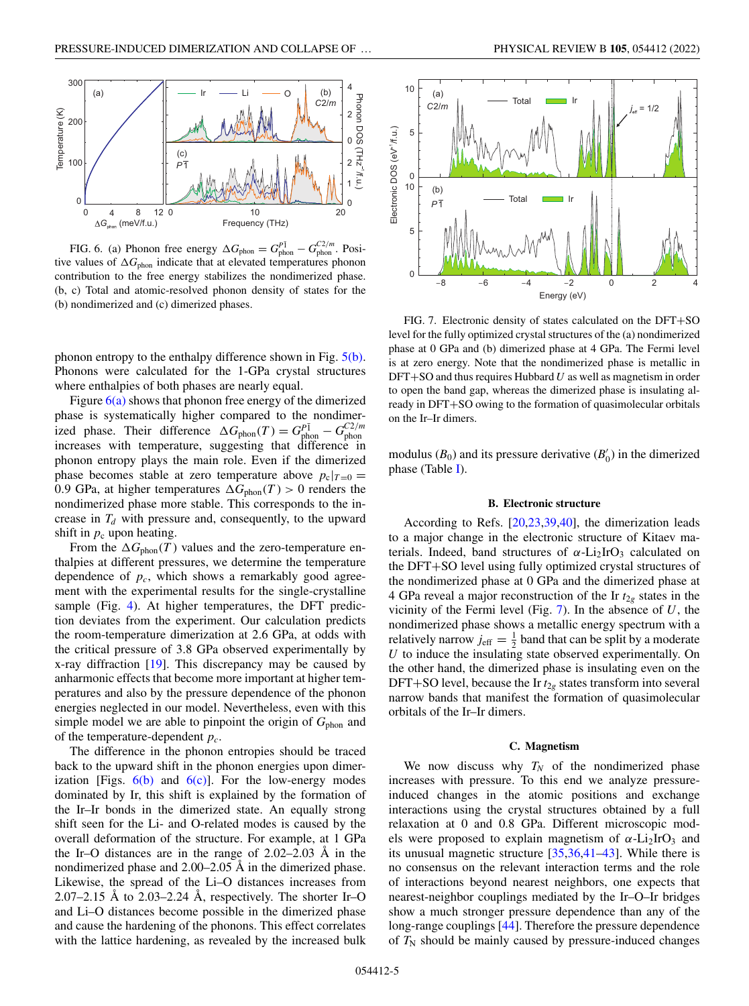

FIG. 6. (a) Phonon free energy  $\Delta G_{\text{phon}} = G_{\text{phon}}^{P\bar{1}} - G_{\text{phon}}^{C2/m}$ . Positive values of  $\Delta G_{\text{phon}}$  indicate that at elevated temperatures phonon contribution to the free energy stabilizes the nondimerized phase. (b, c) Total and atomic-resolved phonon density of states for the (b) nondimerized and (c) dimerized phases.

phonon entropy to the enthalpy difference shown in Fig. [5\(b\).](#page-3-0) Phonons were calculated for the 1-GPa crystal structures where enthalpies of both phases are nearly equal.

Figure  $6(a)$  shows that phonon free energy of the dimerized phase is systematically higher compared to the nondimerized phase. Their difference  $\Delta G_{\text{phon}}(T) = G_{\text{phon}}^{P\bar{1}} - G_{\text{phon}}^{C2/m}$ increases with temperature, suggesting that difference in phonon entropy plays the main role. Even if the dimerized phase becomes stable at zero temperature above  $p_c|_{T=0}$  = 0.9 GPa, at higher temperatures  $\Delta G_{\text{phon}}(T) > 0$  renders the nondimerized phase more stable. This corresponds to the increase in  $T_d$  with pressure and, consequently, to the upward shift in  $p_c$  upon heating.

From the  $\Delta G_{\text{phon}}(T)$  values and the zero-temperature enthalpies at different pressures, we determine the temperature dependence of  $p_c$ , which shows a remarkably good agreement with the experimental results for the single-crystalline sample (Fig. [4\)](#page-3-0). At higher temperatures, the DFT prediction deviates from the experiment. Our calculation predicts the room-temperature dimerization at 2.6 GPa, at odds with the critical pressure of 3.8 GPa observed experimentally by x-ray diffraction [\[19\]](#page-6-0). This discrepancy may be caused by anharmonic effects that become more important at higher temperatures and also by the pressure dependence of the phonon energies neglected in our model. Nevertheless, even with this simple model we are able to pinpoint the origin of  $G_{\text{phon}}$  and of the temperature-dependent *pc*.

The difference in the phonon entropies should be traced back to the upward shift in the phonon energies upon dimerization [Figs.  $6(b)$  and  $6(c)$ ]. For the low-energy modes dominated by Ir, this shift is explained by the formation of the Ir–Ir bonds in the dimerized state. An equally strong shift seen for the Li- and O-related modes is caused by the overall deformation of the structure. For example, at 1 GPa the Ir–O distances are in the range of 2.02–2.03 Å in the nondimerized phase and 2.00–2.05 Å in the dimerized phase. Likewise, the spread of the Li–O distances increases from 2.07–2.15 Å to 2.03–2.24 Å, respectively. The shorter Ir–O and Li–O distances become possible in the dimerized phase and cause the hardening of the phonons. This effect correlates with the lattice hardening, as revealed by the increased bulk



FIG. 7. Electronic density of states calculated on the DFT+SO level for the fully optimized crystal structures of the (a) nondimerized phase at 0 GPa and (b) dimerized phase at 4 GPa. The Fermi level is at zero energy. Note that the nondimerized phase is metallic in DFT+SO and thus requires Hubbard*U* as well as magnetism in order to open the band gap, whereas the dimerized phase is insulating already in DFT+SO owing to the formation of quasimolecular orbitals on the Ir–Ir dimers.

modulus  $(B_0)$  and its pressure derivative  $(B'_0)$  in the dimerized phase (Table  $I$ ).

## **B. Electronic structure**

According to Refs. [\[20,23](#page-6-0)[,39,40\]](#page-7-0), the dimerization leads to a major change in the electronic structure of Kitaev materials. Indeed, band structures of  $\alpha$ -Li<sub>2</sub>IrO<sub>3</sub> calculated on the DFT+SO level using fully optimized crystal structures of the nondimerized phase at 0 GPa and the dimerized phase at 4 GPa reveal a major reconstruction of the Ir  $t_{2g}$  states in the vicinity of the Fermi level (Fig. 7). In the absence of *U*, the nondimerized phase shows a metallic energy spectrum with a relatively narrow  $j_{\text{eff}} = \frac{1}{2}$  band that can be split by a moderate *U* to induce the insulating state observed experimentally. On the other hand, the dimerized phase is insulating even on the DFT+SO level, because the Ir  $t_{2g}$  states transform into several narrow bands that manifest the formation of quasimolecular orbitals of the Ir–Ir dimers.

#### **C. Magnetism**

We now discuss why  $T_N$  of the nondimerized phase increases with pressure. To this end we analyze pressureinduced changes in the atomic positions and exchange interactions using the crystal structures obtained by a full relaxation at 0 and 0.8 GPa. Different microscopic models were proposed to explain magnetism of  $\alpha$ -Li<sub>2</sub>IrO<sub>3</sub> and its unusual magnetic structure [\[35,36,41–43\]](#page-7-0). While there is no consensus on the relevant interaction terms and the role of interactions beyond nearest neighbors, one expects that nearest-neighbor couplings mediated by the Ir–O–Ir bridges show a much stronger pressure dependence than any of the long-range couplings [\[44\]](#page-7-0). Therefore the pressure dependence of  $T_N$  should be mainly caused by pressure-induced changes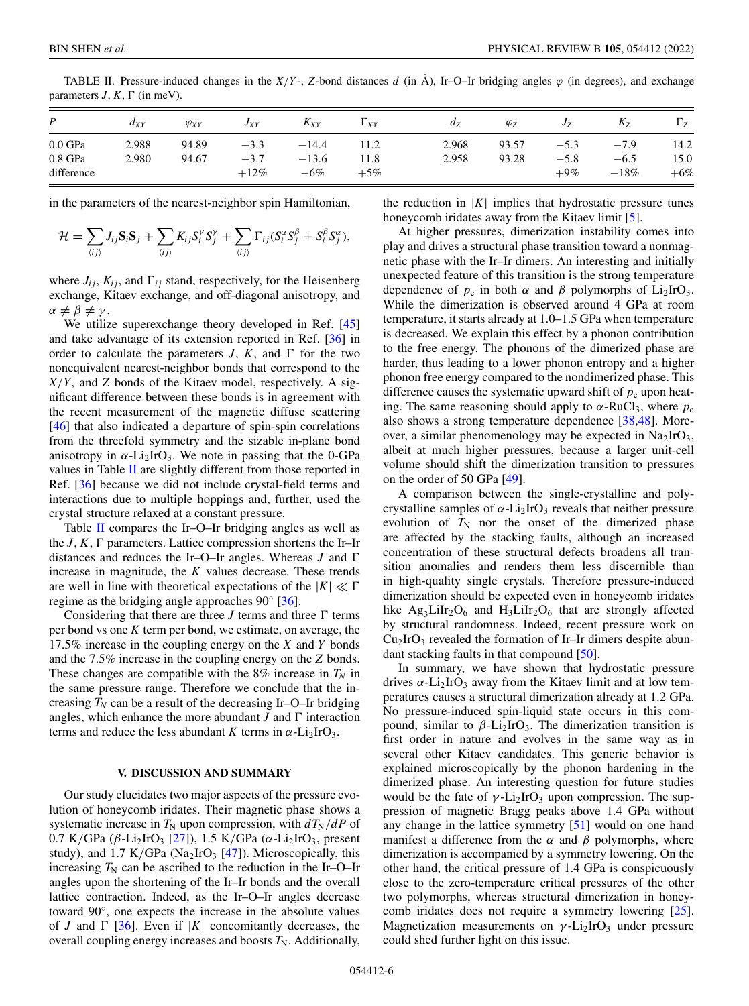| P                                  | $d_{XY}$       | $\varphi_{XY}$ | $J_{XY}$                    | $\mathbf{A}_{XY}$           | $1_{XY}$       | a <sub>z</sub> | $\varphi_Z$    | Jz                         | $\mathbf{A}$               | $\Gamma_Z$            |
|------------------------------------|----------------|----------------|-----------------------------|-----------------------------|----------------|----------------|----------------|----------------------------|----------------------------|-----------------------|
| $0.0$ GPa<br>0.8 GPa<br>difference | 2.988<br>2.980 | 94.89<br>94.67 | $-3.3$<br>$-3.7$<br>$+12\%$ | $-14.4$<br>$-13.6$<br>$-6%$ | 11.8<br>$+5\%$ | 2.968<br>2.958 | 93.57<br>93.28 | $-5.3$<br>$-5.8$<br>$+9\%$ | $-7.9$<br>$-6.5$<br>$-18%$ | 14.2<br>15.0<br>$+6%$ |

TABLE II. Pressure-induced changes in the  $X/Y$ -, *Z*-bond distances *d* (in Å), Ir–O–Ir bridging angles  $\varphi$  (in degrees), and exchange parameters  $J, K, \Gamma$  (in meV).

in the parameters of the nearest-neighbor spin Hamiltonian,

$$
\mathcal{H} = \sum_{\langle ij \rangle} J_{ij} \mathbf{S}_i \mathbf{S}_j + \sum_{\langle ij \rangle} K_{ij} S_i^{\gamma} S_j^{\gamma} + \sum_{\langle ij \rangle} \Gamma_{ij} (S_i^{\alpha} S_j^{\beta} + S_i^{\beta} S_j^{\alpha}),
$$

where  $J_{ij}$ ,  $K_{ij}$ , and  $\Gamma_{ij}$  stand, respectively, for the Heisenberg exchange, Kitaev exchange, and off-diagonal anisotropy, and  $\alpha \neq \beta \neq \gamma$ .

We utilize superexchange theory developed in Ref. [\[45\]](#page-7-0) and take advantage of its extension reported in Ref. [\[36\]](#page-7-0) in order to calculate the parameters  $J$ ,  $K$ , and  $\Gamma$  for the two nonequivalent nearest-neighbor bonds that correspond to the *X*/*Y*, and *Z* bonds of the Kitaev model, respectively. A significant difference between these bonds is in agreement with the recent measurement of the magnetic diffuse scattering [\[46\]](#page-7-0) that also indicated a departure of spin-spin correlations from the threefold symmetry and the sizable in-plane bond anisotropy in  $\alpha$ -Li<sub>2</sub>IrO<sub>3</sub>. We note in passing that the 0-GPa values in Table II are slightly different from those reported in Ref. [\[36\]](#page-7-0) because we did not include crystal-field terms and interactions due to multiple hoppings and, further, used the crystal structure relaxed at a constant pressure.

Table  $\overline{II}$  compares the Ir–O–Ir bridging angles as well as the  $J, K, \Gamma$  parameters. Lattice compression shortens the Ir–Ir distances and reduces the Ir–O–Ir angles. Whereas *J* and increase in magnitude, the *K* values decrease. These trends are well in line with theoretical expectations of the  $|K| \ll \Gamma$ regime as the bridging angle approaches 90◦ [\[36\]](#page-7-0).

Considering that there are three *J* terms and three  $\Gamma$  terms per bond vs one *K* term per bond, we estimate, on average, the 17.5% increase in the coupling energy on the *X* and *Y* bonds and the 7.5% increase in the coupling energy on the *Z* bonds. These changes are compatible with the  $8\%$  increase in  $T_N$  in the same pressure range. Therefore we conclude that the increasing  $T_N$  can be a result of the decreasing Ir–O–Ir bridging angles, which enhance the more abundant  $J$  and  $\Gamma$  interaction terms and reduce the less abundant *K* terms in  $\alpha$ -Li<sub>2</sub>IrO<sub>3</sub>.

### **V. DISCUSSION AND SUMMARY**

Our study elucidates two major aspects of the pressure evolution of honeycomb iridates. Their magnetic phase shows a systematic increase in  $T_N$  upon compression, with  $dT_N/dP$  of 0.7 K/GPa (β-Li<sub>2</sub>IrO<sub>3</sub> [\[27\]](#page-7-0)), 1.5 K/GPa (α-Li<sub>2</sub>IrO<sub>3</sub>, present study), and 1.7 K/GPa (Na<sub>2</sub>IrO<sub>3</sub> [\[47\]](#page-7-0)). Microscopically, this increasing  $T_N$  can be ascribed to the reduction in the Ir–O–Ir angles upon the shortening of the Ir–Ir bonds and the overall lattice contraction. Indeed, as the Ir–O–Ir angles decrease toward 90◦, one expects the increase in the absolute values of *J* and  $\Gamma$  [\[36\]](#page-7-0). Even if |*K*| concomitantly decreases, the overall coupling energy increases and boosts  $T_N$ . Additionally,

the reduction in  $|K|$  implies that hydrostatic pressure tunes honeycomb iridates away from the Kitaev limit [\[5\]](#page-6-0).

At higher pressures, dimerization instability comes into play and drives a structural phase transition toward a nonmagnetic phase with the Ir–Ir dimers. An interesting and initially unexpected feature of this transition is the strong temperature dependence of  $p_c$  in both  $\alpha$  and  $\beta$  polymorphs of Li<sub>2</sub>IrO<sub>3</sub>. While the dimerization is observed around 4 GPa at room temperature, it starts already at 1.0–1.5 GPa when temperature is decreased. We explain this effect by a phonon contribution to the free energy. The phonons of the dimerized phase are harder, thus leading to a lower phonon entropy and a higher phonon free energy compared to the nondimerized phase. This difference causes the systematic upward shift of  $p_c$  upon heating. The same reasoning should apply to  $\alpha$ -RuCl<sub>3</sub>, where  $p_c$ also shows a strong temperature dependence [\[38,48\]](#page-7-0). Moreover, a similar phenomenology may be expected in  $Na<sub>2</sub>IrO<sub>3</sub>$ , albeit at much higher pressures, because a larger unit-cell volume should shift the dimerization transition to pressures on the order of 50 GPa [\[49\]](#page-7-0).

A comparison between the single-crystalline and polycrystalline samples of  $\alpha$ -Li<sub>2</sub>IrO<sub>3</sub> reveals that neither pressure evolution of  $T_N$  nor the onset of the dimerized phase are affected by the stacking faults, although an increased concentration of these structural defects broadens all transition anomalies and renders them less discernible than in high-quality single crystals. Therefore pressure-induced dimerization should be expected even in honeycomb iridates like Ag<sub>3</sub>LiIr<sub>2</sub>O<sub>6</sub> and H<sub>3</sub>LiIr<sub>2</sub>O<sub>6</sub> that are strongly affected by structural randomness. Indeed, recent pressure work on  $Cu<sub>2</sub>IrO<sub>3</sub>$  revealed the formation of Ir–Ir dimers despite abundant stacking faults in that compound [\[50\]](#page-7-0).

In summary, we have shown that hydrostatic pressure drives  $\alpha$ -Li<sub>2</sub>IrO<sub>3</sub> away from the Kitaev limit and at low temperatures causes a structural dimerization already at 1.2 GPa. No pressure-induced spin-liquid state occurs in this compound, similar to  $β$ -Li<sub>2</sub>IrO<sub>3</sub>. The dimerization transition is first order in nature and evolves in the same way as in several other Kitaev candidates. This generic behavior is explained microscopically by the phonon hardening in the dimerized phase. An interesting question for future studies would be the fate of  $\gamma$ -Li<sub>2</sub>IrO<sub>3</sub> upon compression. The suppression of magnetic Bragg peaks above 1.4 GPa without any change in the lattice symmetry [\[51\]](#page-7-0) would on one hand manifest a difference from the  $\alpha$  and  $\beta$  polymorphs, where dimerization is accompanied by a symmetry lowering. On the other hand, the critical pressure of 1.4 GPa is conspicuously close to the zero-temperature critical pressures of the other two polymorphs, whereas structural dimerization in honeycomb iridates does not require a symmetry lowering [\[25\]](#page-6-0). Magnetization measurements on  $\gamma$ -Li<sub>2</sub>IrO<sub>3</sub> under pressure could shed further light on this issue.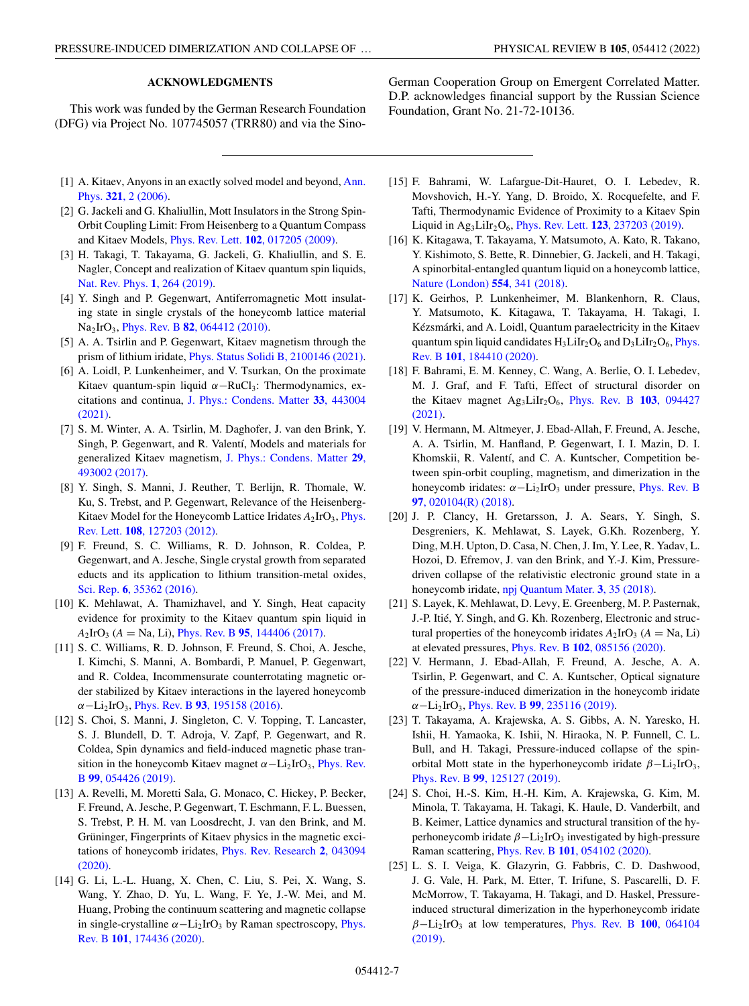# **ACKNOWLEDGMENTS**

<span id="page-6-0"></span>This work was funded by the German Research Foundation (DFG) via Project No. 107745057 (TRR80) and via the Sino-

- [1] [A. Kitaev, Anyons in an exactly solved model and beyond,](https://doi.org/10.1016/j.aop.2005.10.005) Ann. Phys. **321**, 2 (2006).
- [2] G. Jackeli and G. Khaliullin, Mott Insulators in the Strong Spin-Orbit Coupling Limit: From Heisenberg to a Quantum Compass and Kitaev Models, Phys. Rev. Lett. **102**[, 017205 \(2009\).](https://doi.org/10.1103/PhysRevLett.102.017205)
- [3] H. Takagi, T. Takayama, G. Jackeli, G. Khaliullin, and S. E. Nagler, Concept and realization of Kitaev quantum spin liquids, [Nat. Rev. Phys.](https://doi.org/10.1038/s42254-019-0038-2) **1**, 264 (2019).
- [4] Y. Singh and P. Gegenwart, Antiferromagnetic Mott insulating state in single crystals of the honeycomb lattice material Na2IrO3, Phys. Rev. B **82**[, 064412 \(2010\).](https://doi.org/10.1103/PhysRevB.82.064412)
- [5] A. A. Tsirlin and P. Gegenwart, Kitaev magnetism through the prism of lithium iridate, [Phys. Status Solidi B, 2100146 \(2021\).](https://doi.org/10.1002/pssb.202100146)
- [6] A. Loidl, P. Lunkenheimer, and V. Tsurkan, On the proximate Kitaev quantum-spin liquid  $\alpha$ –RuCl<sub>3</sub>: Thermodynamics, excitations and continua, [J. Phys.: Condens. Matter](https://doi.org/10.1088/1361-648X/ac1bcf) **33**, 443004 (2021).
- [7] S. M. Winter, A. A. Tsirlin, M. Daghofer, J. van den Brink, Y. Singh, P. Gegenwart, and R. Valentí, Models and materials for [generalized Kitaev magnetism,](https://doi.org/10.1088/1361-648X/aa8cf5) J. Phys.: Condens. Matter **29**, 493002 (2017).
- [8] Y. Singh, S. Manni, J. Reuther, T. Berlijn, R. Thomale, W. Ku, S. Trebst, and P. Gegenwart, Relevance of the Heisenberg-[Kitaev Model for the Honeycomb Lattice Iridates](https://doi.org/10.1103/PhysRevLett.108.127203)  $A_2$ IrO<sub>3</sub>, Phys. Rev. Lett. **108**, 127203 (2012).
- [9] F. Freund, S. C. Williams, R. D. Johnson, R. Coldea, P. Gegenwart, and A. Jesche, Single crystal growth from separated educts and its application to lithium transition-metal oxides, Sci. Rep. **6**[, 35362 \(2016\).](https://doi.org/10.1038/srep35362)
- [10] K. Mehlawat, A. Thamizhavel, and Y. Singh, Heat capacity evidence for proximity to the Kitaev quantum spin liquid in  $A_2$ IrO<sub>3</sub> (*A* = Na, Li), Phys. Rev. B 95[, 144406 \(2017\).](https://doi.org/10.1103/PhysRevB.95.144406)
- [11] S. C. Williams, R. D. Johnson, F. Freund, S. Choi, A. Jesche, I. Kimchi, S. Manni, A. Bombardi, P. Manuel, P. Gegenwart, and R. Coldea, Incommensurate counterrotating magnetic order stabilized by Kitaev interactions in the layered honeycomb α−Li2IrO3, Phys. Rev. B **93**[, 195158 \(2016\).](https://doi.org/10.1103/PhysRevB.93.195158)
- [12] S. Choi, S. Manni, J. Singleton, C. V. Topping, T. Lancaster, S. J. Blundell, D. T. Adroja, V. Zapf, P. Gegenwart, and R. Coldea, Spin dynamics and field-induced magnetic phase tran[sition in the honeycomb Kitaev magnet](https://doi.org/10.1103/PhysRevB.99.054426)  $\alpha - \text{Li}_2\text{IrO}_3$ , Phys. Rev. B **99**, 054426 (2019).
- [13] A. Revelli, M. Moretti Sala, G. Monaco, C. Hickey, P. Becker, F. Freund, A. Jesche, P. Gegenwart, T. Eschmann, F. L. Buessen, S. Trebst, P. H. M. van Loosdrecht, J. van den Brink, and M. Grüninger, Fingerprints of Kitaev physics in the magnetic exci[tations of honeycomb iridates,](https://doi.org/10.1103/PhysRevResearch.2.043094) Phys. Rev. Research **2**, 043094 (2020).
- [14] G. Li, L.-L. Huang, X. Chen, C. Liu, S. Pei, X. Wang, S. Wang, Y. Zhao, D. Yu, L. Wang, F. Ye, J.-W. Mei, and M. Huang, Probing the continuum scattering and magnetic collapse in single-crystalline  $\alpha$ -Li<sub>2</sub>IrO<sub>3</sub> [by Raman spectroscopy,](https://doi.org/10.1103/PhysRevB.101.174436) Phys. Rev. B **101**, 174436 (2020).

German Cooperation Group on Emergent Correlated Matter. D.P. acknowledges financial support by the Russian Science Foundation, Grant No. 21-72-10136.

- [15] F. Bahrami, W. Lafargue-Dit-Hauret, O. I. Lebedev, R. Movshovich, H.-Y. Yang, D. Broido, X. Rocquefelte, and F. Tafti, Thermodynamic Evidence of Proximity to a Kitaev Spin Liquid in Ag<sub>3</sub>LiIr<sub>2</sub>O<sub>6</sub>, Phys. Rev. Lett. **123**[, 237203 \(2019\).](https://doi.org/10.1103/PhysRevLett.123.237203)
- [16] K. Kitagawa, T. Takayama, Y. Matsumoto, A. Kato, R. Takano, Y. Kishimoto, S. Bette, R. Dinnebier, G. Jackeli, and H. Takagi, A spinorbital-entangled quantum liquid on a honeycomb lattice, [Nature \(London\)](https://doi.org/10.1038/nature25482) **554**, 341 (2018).
- [17] K. Geirhos, P. Lunkenheimer, M. Blankenhorn, R. Claus, Y. Matsumoto, K. Kitagawa, T. Takayama, H. Takagi, I. Kézsmárki, and A. Loidl, Quantum paraelectricity in the Kitaev quantum spin liquid candidates  $H_3LiIr_2O_6$  and  $D_3LiIr_2O_6$ , *Phys.* Rev. B **101**, 184410 (2020).
- [18] F. Bahrami, E. M. Kenney, C. Wang, A. Berlie, O. I. Lebedev, M. J. Graf, and F. Tafti, Effect of structural disorder on [the Kitaev magnet Ag3LiIr2O6,](https://doi.org/10.1103/PhysRevB.103.094427) Phys. Rev. B **103**, 094427 (2021).
- [19] V. Hermann, M. Altmeyer, J. Ebad-Allah, F. Freund, A. Jesche, A. A. Tsirlin, M. Hanfland, P. Gegenwart, I. I. Mazin, D. I. Khomskii, R. Valentí, and C. A. Kuntscher, Competition between spin-orbit coupling, magnetism, and dimerization in the [honeycomb iridates:](https://doi.org/10.1103/PhysRevB.97.020104)  $\alpha - Li_2IrO_3$  under pressure, Phys. Rev. B **97**, 020104(R) (2018).
- [20] J. P. Clancy, H. Gretarsson, J. A. Sears, Y. Singh, S. Desgreniers, K. Mehlawat, S. Layek, G.Kh. Rozenberg, Y. Ding, M.H. Upton, D. Casa, N. Chen, J. Im, Y. Lee, R. Yadav, L. Hozoi, D. Efremov, J. van den Brink, and Y.-J. Kim, Pressuredriven collapse of the relativistic electronic ground state in a honeycomb iridate, [npj Quantum Mater.](https://doi.org/10.1038/s41535-018-0109-0) **3**, 35 (2018).
- [21] S. Layek, K. Mehlawat, D. Levy, E. Greenberg, M. P. Pasternak, J.-P. Itié, Y. Singh, and G. Kh. Rozenberg, Electronic and structural properties of the honeycomb iridates  $A_2$ IrO<sub>3</sub> ( $A =$  Na, Li) at elevated pressures, Phys. Rev. B **102**[, 085156 \(2020\).](https://doi.org/10.1103/PhysRevB.102.085156)
- [22] V. Hermann, J. Ebad-Allah, F. Freund, A. Jesche, A. A. Tsirlin, P. Gegenwart, and C. A. Kuntscher, Optical signature of the pressure-induced dimerization in the honeycomb iridate α−Li2IrO3, Phys. Rev. B **99**[, 235116 \(2019\).](https://doi.org/10.1103/PhysRevB.99.235116)
- [23] T. Takayama, A. Krajewska, A. S. Gibbs, A. N. Yaresko, H. Ishii, H. Yamaoka, K. Ishii, N. Hiraoka, N. P. Funnell, C. L. Bull, and H. Takagi, Pressure-induced collapse of the spinorbital Mott state in the hyperhoneycomb iridate  $\beta - \text{Li}_2\text{IrO}_3$ , Phys. Rev. B **99**[, 125127 \(2019\).](https://doi.org/10.1103/PhysRevB.99.125127)
- [24] S. Choi, H.-S. Kim, H.-H. Kim, A. Krajewska, G. Kim, M. Minola, T. Takayama, H. Takagi, K. Haule, D. Vanderbilt, and B. Keimer, Lattice dynamics and structural transition of the hyperhoneycomb iridate  $\beta$ -Li<sub>2</sub>IrO<sub>3</sub> investigated by high-pressure Raman scattering, Phys. Rev. B **101**[, 054102 \(2020\).](https://doi.org/10.1103/PhysRevB.101.054102)
- [25] L. S. I. Veiga, K. Glazyrin, G. Fabbris, C. D. Dashwood, J. G. Vale, H. Park, M. Etter, T. Irifune, S. Pascarelli, D. F. McMorrow, T. Takayama, H. Takagi, and D. Haskel, Pressureinduced structural dimerization in the hyperhoneycomb iridate β−Li2IrO3 [at low temperatures,](https://doi.org/10.1103/PhysRevB.100.064104) Phys. Rev. B **100**, 064104 (2019).